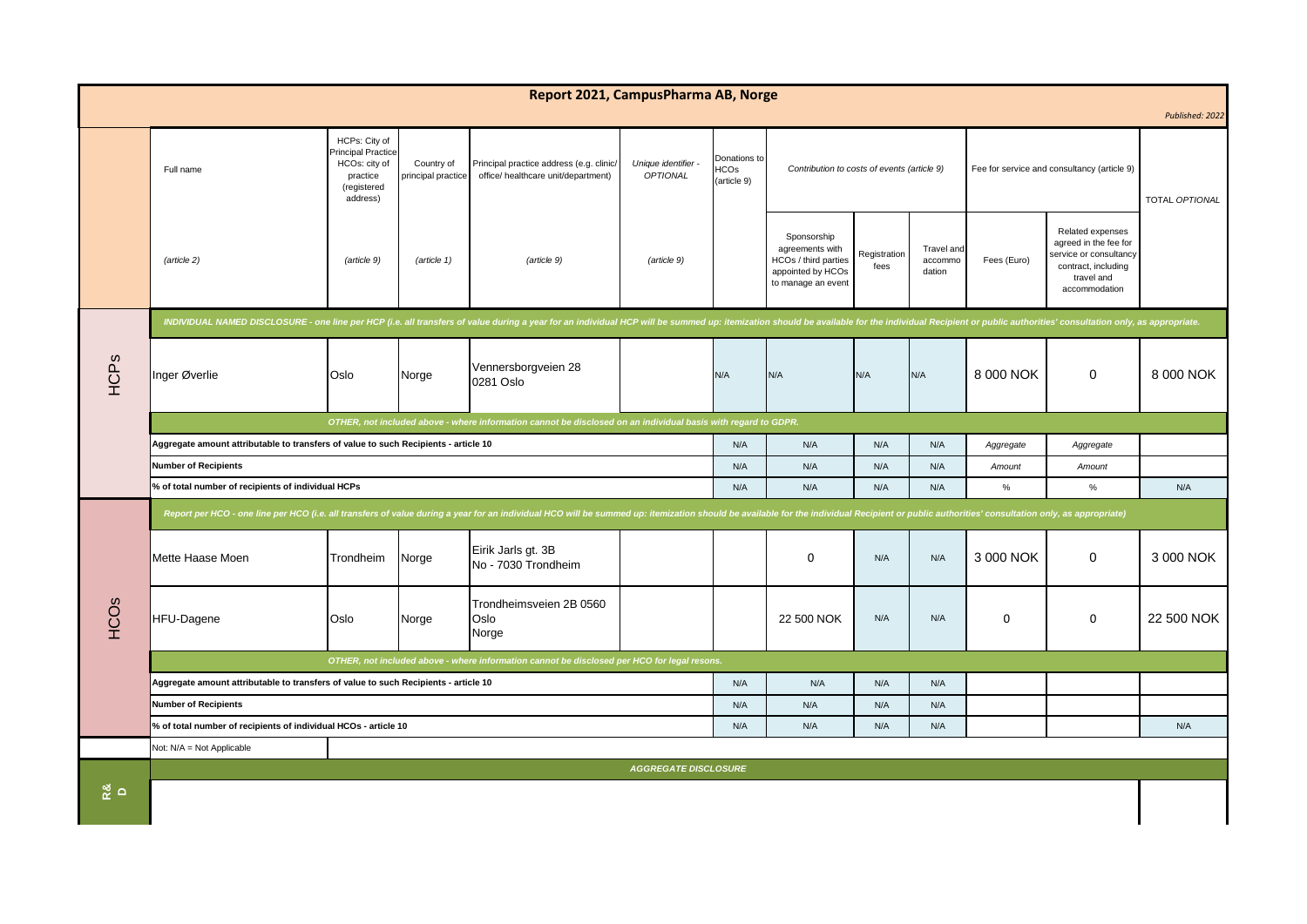| Report 2021, CampusPharma AB, Norge |                                                                                                                                                                                                                                |                                                                                             |                                  |                                                                                 |                                      |                                     |                                                                                                   |                      |                                 |                                             |                                                                                                                           |                |
|-------------------------------------|--------------------------------------------------------------------------------------------------------------------------------------------------------------------------------------------------------------------------------|---------------------------------------------------------------------------------------------|----------------------------------|---------------------------------------------------------------------------------|--------------------------------------|-------------------------------------|---------------------------------------------------------------------------------------------------|----------------------|---------------------------------|---------------------------------------------|---------------------------------------------------------------------------------------------------------------------------|----------------|
| Published: 2022                     |                                                                                                                                                                                                                                |                                                                                             |                                  |                                                                                 |                                      |                                     |                                                                                                   |                      |                                 |                                             |                                                                                                                           |                |
|                                     | Full name                                                                                                                                                                                                                      | HCPs: City of<br>Principal Practice<br>HCOs: city of<br>practice<br>(registered<br>address) | Country of<br>principal practice | Principal practice address (e.g. clinic,<br>office/ healthcare unit/department) | Unique identifier<br><b>OPTIONAL</b> | Donations to<br>HCOs<br>(article 9) | Contribution to costs of events (article 9)                                                       |                      |                                 | Fee for service and consultancy (article 9) |                                                                                                                           | TOTAL OPTIONAL |
|                                     | (article 2)                                                                                                                                                                                                                    | (article 9)                                                                                 | (article 1)                      | (article 9)                                                                     | (article 9)                          |                                     | Sponsorship<br>agreements with<br>HCOs / third parties<br>appointed by HCOs<br>to manage an event | Registration<br>fees | Travel and<br>accommo<br>dation | Fees (Euro)                                 | Related expenses<br>agreed in the fee for<br>service or consultancy<br>contract, including<br>travel and<br>accommodation |                |
|                                     | INDIVIDUAL NAMED DISCLOSURE - one line per HCP (i.e. all transfers of value during a year for an individual HCP will be summed up: itemization should be available for the individual Recipient or public authorities' consult |                                                                                             |                                  |                                                                                 |                                      |                                     |                                                                                                   |                      |                                 |                                             |                                                                                                                           |                |
| HCPs                                | Inger Øverlie                                                                                                                                                                                                                  | Oslo                                                                                        | Norge                            | Vennersborgveien 28<br>0281 Oslo                                                |                                      | N/A                                 | N/A                                                                                               | N/A                  | N/A                             | 8 000 NOK                                   | $\Omega$                                                                                                                  | 8 000 NOK      |
|                                     | OTHER, not included above - where information cannot be disclosed on an individual basis with regard to GDPR.                                                                                                                  |                                                                                             |                                  |                                                                                 |                                      |                                     |                                                                                                   |                      |                                 |                                             |                                                                                                                           |                |
|                                     | Aggregate amount attributable to transfers of value to such Recipients - article 10                                                                                                                                            |                                                                                             |                                  |                                                                                 |                                      |                                     | N/A                                                                                               | N/A                  | N/A                             | Aggregate                                   | Aggregate                                                                                                                 |                |
|                                     | <b>Number of Recipients</b>                                                                                                                                                                                                    |                                                                                             |                                  |                                                                                 |                                      | N/A                                 | N/A                                                                                               | N/A                  | N/A                             | Amount                                      | Amount                                                                                                                    |                |
|                                     | % of total number of recipients of individual HCPs                                                                                                                                                                             |                                                                                             |                                  |                                                                                 |                                      | N/A                                 | N/A                                                                                               | N/A                  | N/A                             | $\%$                                        | %                                                                                                                         | N/A            |
| <b>HCO<sub>S</sub></b>              | Report per HCO - one line per HCO (i.e. all transfers of value during a year for an individual HCO will be summed up: itemization should be available for the individual Recipient or public authorities' consultation only, a |                                                                                             |                                  |                                                                                 |                                      |                                     |                                                                                                   |                      |                                 |                                             |                                                                                                                           |                |
|                                     | Mette Haase Moen                                                                                                                                                                                                               | Trondheim                                                                                   | Norge                            | Eirik Jarls gt. 3B<br>No - 7030 Trondheim                                       |                                      |                                     | $\Omega$                                                                                          | N/A                  | N/A                             | 3 000 NOK                                   | $\Omega$                                                                                                                  | 3 000 NOK      |
|                                     | <b>HFU-Dagene</b>                                                                                                                                                                                                              | Oslo                                                                                        | Norge                            | Trondheimsveien 2B 0560<br>Oslo<br>Norge                                        |                                      |                                     | 22 500 NOK                                                                                        | N/A                  | N/A                             | $\mathbf 0$                                 | 0                                                                                                                         | 22 500 NOK     |
|                                     | OTHER, not included above - where information cannot be disclosed per HCO for legal resons.                                                                                                                                    |                                                                                             |                                  |                                                                                 |                                      |                                     |                                                                                                   |                      |                                 |                                             |                                                                                                                           |                |
|                                     | Aggregate amount attributable to transfers of value to such Recipients - article 10                                                                                                                                            |                                                                                             |                                  |                                                                                 |                                      |                                     | N/A                                                                                               | N/A                  | N/A                             |                                             |                                                                                                                           |                |
|                                     | <b>Number of Recipients</b>                                                                                                                                                                                                    |                                                                                             |                                  |                                                                                 |                                      | N/A                                 | N/A                                                                                               | N/A                  | N/A                             |                                             |                                                                                                                           |                |
|                                     | % of total number of recipients of individual HCOs - article 10                                                                                                                                                                |                                                                                             |                                  |                                                                                 |                                      |                                     | N/A                                                                                               | N/A                  | N/A                             |                                             |                                                                                                                           | N/A            |
|                                     | Not: N/A = Not Applicable                                                                                                                                                                                                      |                                                                                             |                                  |                                                                                 |                                      |                                     |                                                                                                   |                      |                                 |                                             |                                                                                                                           |                |
| $\frac{8}{2}$ $\circ$               | <b>AGGREGATE DISCLOSURE</b>                                                                                                                                                                                                    |                                                                                             |                                  |                                                                                 |                                      |                                     |                                                                                                   |                      |                                 |                                             |                                                                                                                           |                |
|                                     |                                                                                                                                                                                                                                |                                                                                             |                                  |                                                                                 |                                      |                                     |                                                                                                   |                      |                                 |                                             |                                                                                                                           |                |